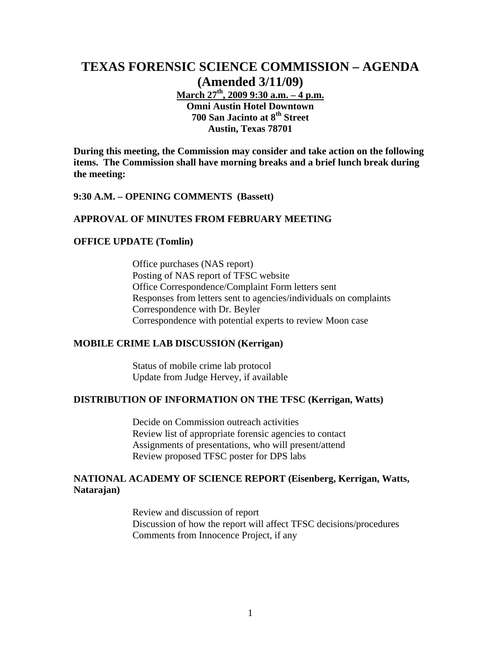# **TEXAS FORENSIC SCIENCE COMMISSION – AGENDA (Amended 3/11/09)**

**March 27th, 2009 9:30 a.m. – 4 p.m. Omni Austin Hotel Downtown 700 San Jacinto at 8th Street Austin, Texas 78701** 

**During this meeting, the Commission may consider and take action on the following items. The Commission shall have morning breaks and a brief lunch break during the meeting:** 

### **9:30 A.M. – OPENING COMMENTS (Bassett)**

#### **APPROVAL OF MINUTES FROM FEBRUARY MEETING**

### **OFFICE UPDATE (Tomlin)**

Office purchases (NAS report) Posting of NAS report of TFSC website Office Correspondence/Complaint Form letters sent Responses from letters sent to agencies/individuals on complaints Correspondence with Dr. Beyler Correspondence with potential experts to review Moon case

### **MOBILE CRIME LAB DISCUSSION (Kerrigan)**

Status of mobile crime lab protocol Update from Judge Hervey, if available

### **DISTRIBUTION OF INFORMATION ON THE TFSC (Kerrigan, Watts)**

Decide on Commission outreach activities Review list of appropriate forensic agencies to contact Assignments of presentations, who will present/attend Review proposed TFSC poster for DPS labs

### **NATIONAL ACADEMY OF SCIENCE REPORT (Eisenberg, Kerrigan, Watts, Natarajan)**

Review and discussion of report Discussion of how the report will affect TFSC decisions/procedures Comments from Innocence Project, if any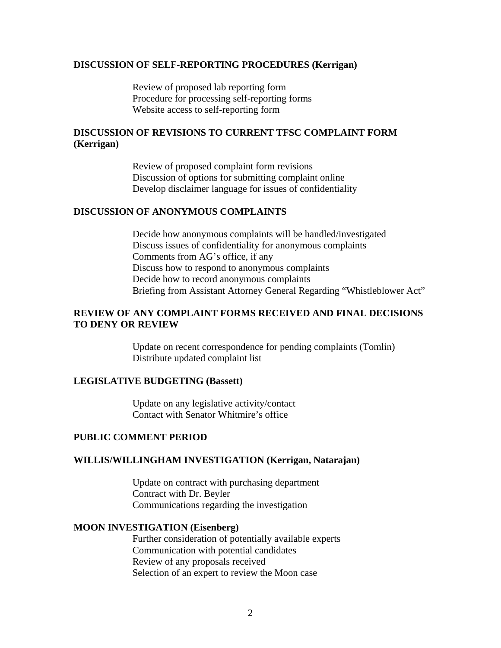### **DISCUSSION OF SELF-REPORTING PROCEDURES (Kerrigan)**

Review of proposed lab reporting form Procedure for processing self-reporting forms Website access to self-reporting form

# **DISCUSSION OF REVISIONS TO CURRENT TFSC COMPLAINT FORM (Kerrigan)**

Review of proposed complaint form revisions Discussion of options for submitting complaint online Develop disclaimer language for issues of confidentiality

### **DISCUSSION OF ANONYMOUS COMPLAINTS**

Decide how anonymous complaints will be handled/investigated Discuss issues of confidentiality for anonymous complaints Comments from AG's office, if any Discuss how to respond to anonymous complaints Decide how to record anonymous complaints Briefing from Assistant Attorney General Regarding "Whistleblower Act"

# **REVIEW OF ANY COMPLAINT FORMS RECEIVED AND FINAL DECISIONS TO DENY OR REVIEW**

Update on recent correspondence for pending complaints (Tomlin) Distribute updated complaint list

### **LEGISLATIVE BUDGETING (Bassett)**

Update on any legislative activity/contact Contact with Senator Whitmire's office

### **PUBLIC COMMENT PERIOD**

### **WILLIS/WILLINGHAM INVESTIGATION (Kerrigan, Natarajan)**

Update on contract with purchasing department Contract with Dr. Beyler Communications regarding the investigation

#### **MOON INVESTIGATION (Eisenberg)**

Further consideration of potentially available experts Communication with potential candidates Review of any proposals received Selection of an expert to review the Moon case